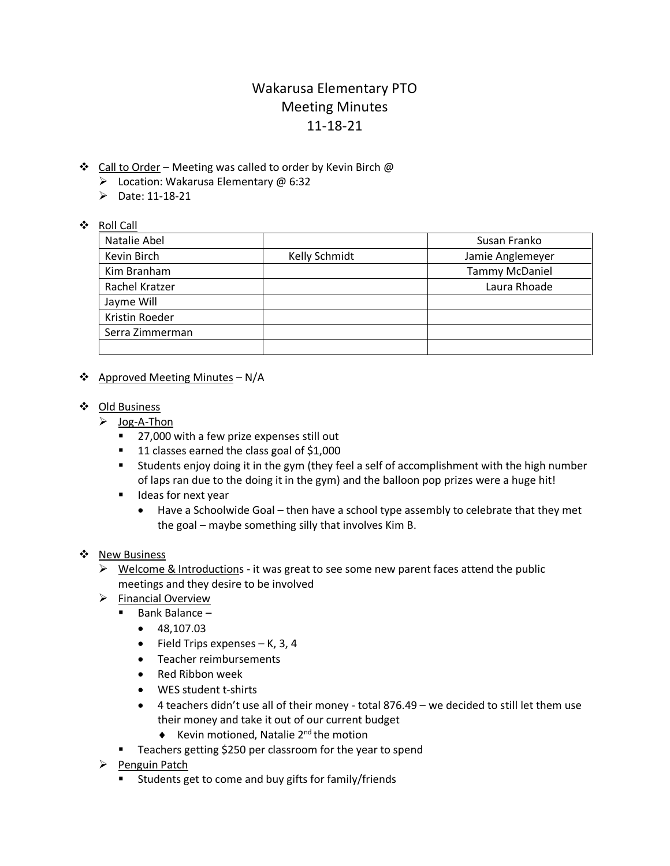## Wakarusa Elementary PTO Meeting Minutes 11-18-21

- ❖ Call to Order Meeting was called to order by Kevin Birch @
	- ➢ Location: Wakarusa Elementary @ 6:32
	- ➢ Date: 11-18-21

## ❖ Roll Call

| <u></u>         |               |                       |
|-----------------|---------------|-----------------------|
| Natalie Abel    |               | Susan Franko          |
| Kevin Birch     | Kelly Schmidt | Jamie Anglemeyer      |
| Kim Branham     |               | <b>Tammy McDaniel</b> |
| Rachel Kratzer  |               | Laura Rhoade          |
| Jayme Will      |               |                       |
| Kristin Roeder  |               |                       |
| Serra Zimmerman |               |                       |
|                 |               |                       |

- ❖ Approved Meeting Minutes N/A
- ❖ Old Business
	- ➢ Jog-A-Thon
		- 27,000 with a few prize expenses still out
		- 11 classes earned the class goal of \$1,000
		- Students enjoy doing it in the gym (they feel a self of accomplishment with the high number of laps ran due to the doing it in the gym) and the balloon pop prizes were a huge hit!
		- Ideas for next year
			- Have a Schoolwide Goal then have a school type assembly to celebrate that they met the goal – maybe something silly that involves Kim B.
- ❖ New Business
	- $\triangleright$  Welcome & Introductions it was great to see some new parent faces attend the public meetings and they desire to be involved
	- ➢ Financial Overview
		- Bank Balance -
			- 48,107.03
			- $\bullet$  Field Trips expenses K, 3, 4
			- Teacher reimbursements
			- Red Ribbon week
			- WES student t-shirts
			- 4 teachers didn't use all of their money total 876.49 we decided to still let them use their money and take it out of our current budget
				- $\blacklozenge$  Kevin motioned, Natalie 2<sup>nd</sup> the motion
		- Teachers getting \$250 per classroom for the year to spend
	- ➢ Penguin Patch
		- Students get to come and buy gifts for family/friends